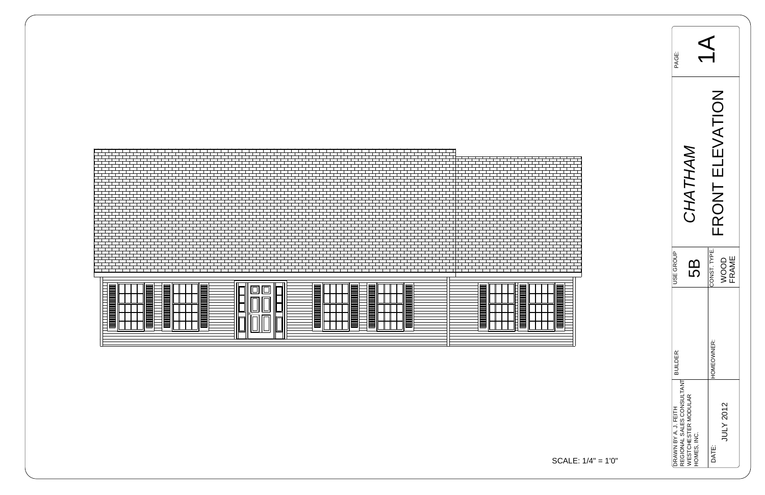| I<br>⋿<br>╼<br>I                                                                                                     | $\equiv$<br>$\equiv$<br>▬<br>$\overline{\phantom{0}}$<br>▆<br>، سا "                                                                                                                                                                                                       | E                                           |
|----------------------------------------------------------------------------------------------------------------------|----------------------------------------------------------------------------------------------------------------------------------------------------------------------------------------------------------------------------------------------------------------------------|---------------------------------------------|
| ▤<br>⊣<br>—<br>_<br>—<br>╼<br>—<br>—<br>IE<br>╼<br>$\equiv$<br>—<br>I<br>⊣<br>E<br>, <u>, , , , , , , , , ,</u><br>⊣ | لسطا<br>$\equiv$<br>═<br>⊪<br><b>State State</b><br>;⊫<br>÷.<br>$=$<br>╶╹╹╠═╾<br>▬<br>$\mathbb{H}$<br>ய<br>لصنا<br>▄<br>e e<br>$\blacksquare$<br>$\overline{\phantom{a}}$<br>$-$<br>▬<br>≡<br>___<br>▤<br>"  ∟"<br>▤<br>$\equiv$<br>儿<br><b>State State</b><br>⊫<br>⊔<br>Ш | _<br>—<br>℔<br>$\sim$<br>℔<br>___<br>▤<br>= |



| PAGE:                                             |                                    |                                            |
|---------------------------------------------------|------------------------------------|--------------------------------------------|
|                                                   | CHATHAM                            | ATION<br>نر<br>ایا<br>RONT<br>l L          |
| <b>JSE GROUP</b>                                  | Б<br>С                             | CONST. TYPE.<br><b>FRAME</b><br><b>JOO</b> |
| <b>BUILDER:</b>                                   |                                    | HOMEOWNER:                                 |
| REGIONAL SALES CONSULTANT<br>DRAWN BY A. J. FEITH | WESTCHESTER MODULAR<br>HOMES, INC. | JULY 2012<br>DATE:                         |



$$
ALE: 1/4" = 1'0"
$$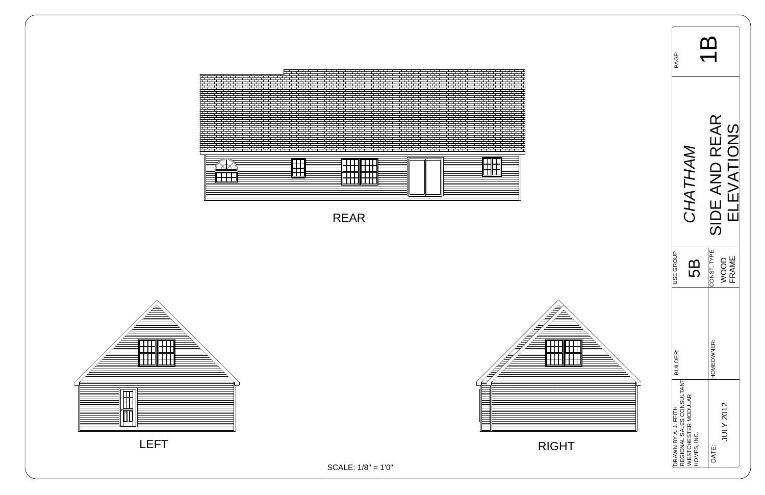| <b>PAGE:</b>                                      |                                                  |                                            |  |
|---------------------------------------------------|--------------------------------------------------|--------------------------------------------|--|
|                                                   | <b>ATHAI</b><br><b>CHA</b>                       | SIDE AND REAR<br>SIVUT<br>$\sum_{i=1}^{n}$ |  |
| <b>JSE GROUP</b>                                  | <u>(၂</u>                                        | CONST. TYPE.<br><b>FRAME</b><br>OOO        |  |
| <b>BUILDER:</b>                                   |                                                  | HOMEOWNER:                                 |  |
| REGIONAL SALES CONSULTANT<br>DRAWN BY A. J. FEITH | <b><i>NESTCHESTER MODULAR</i></b><br>HOMES, INC. | JULY 2012<br>DATE:                         |  |



SCALE: 1/8" = 1'0"







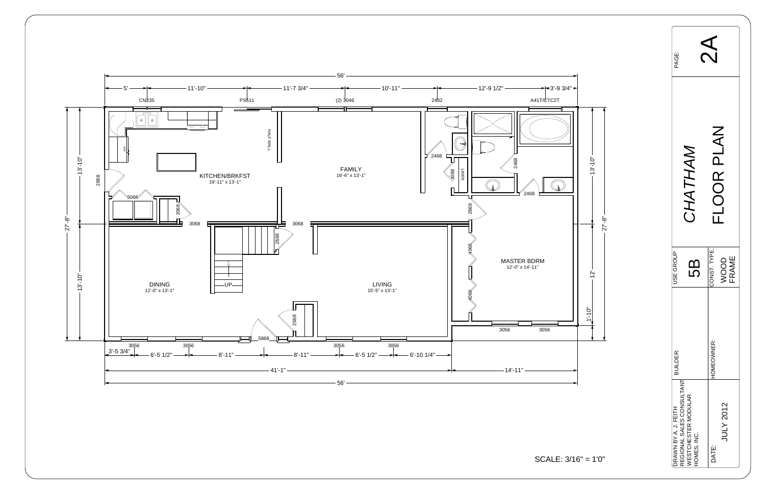